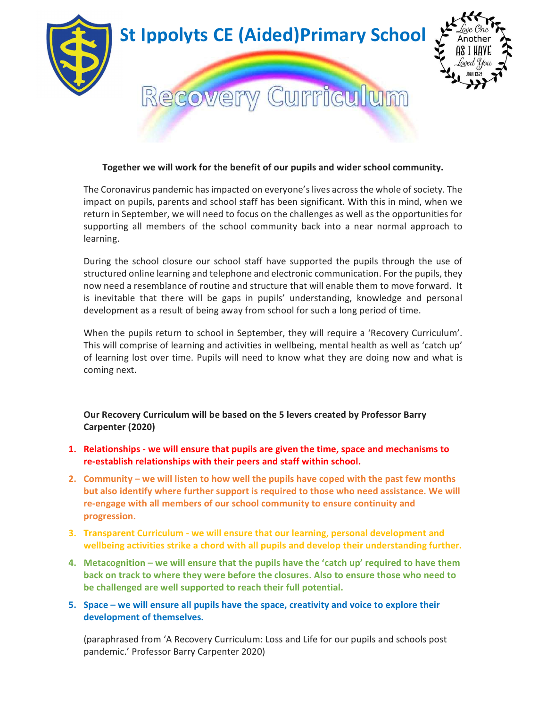

# Together we will work for the benefit of our pupils and wider school community.

The Coronavirus pandemic has impacted on everyone's lives across the whole of society. The impact on pupils, parents and school staff has been significant. With this in mind, when we return in September, we will need to focus on the challenges as well as the opportunities for supporting all members of the school community back into a near normal approach to learning.

During the school closure our school staff have supported the pupils through the use of structured online learning and telephone and electronic communication. For the pupils, they now need a resemblance of routine and structure that will enable them to move forward. It is inevitable that there will be gaps in pupils' understanding, knowledge and personal development as a result of being away from school for such a long period of time.

When the pupils return to school in September, they will require a 'Recovery Curriculum'. This will comprise of learning and activities in wellbeing, mental health as well as 'catch up' of learning lost over time. Pupils will need to know what they are doing now and what is coming next.

Our Recovery Curriculum will be based on the 5 levers created by Professor Barry Carpenter (2020)

- 1. Relationships we will ensure that pupils are given the time, space and mechanisms to re-establish relationships with their peers and staff within school.
- 2. Community we will listen to how well the pupils have coped with the past few months but also identify where further support is required to those who need assistance. We will re-engage with all members of our school community to ensure continuity and progression.
- 3. Transparent Curriculum we will ensure that our learning, personal development and wellbeing activities strike a chord with all pupils and develop their understanding further.
- 4. Metacognition we will ensure that the pupils have the 'catch up' required to have them back on track to where they were before the closures. Also to ensure those who need to be challenged are well supported to reach their full potential.
- 5. Space we will ensure all pupils have the space, creativity and voice to explore their development of themselves.

(paraphrased from 'A Recovery Curriculum: Loss and Life for our pupils and schools post pandemic.' Professor Barry Carpenter 2020)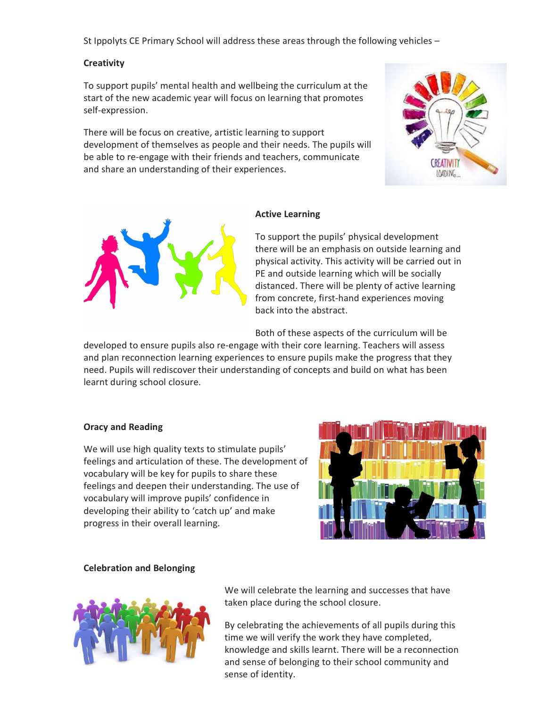St Ippolyts CE Primary School will address these areas through the following vehicles –

#### **Creativity**

To support pupils' mental health and wellbeing the curriculum at the start of the new academic year will focus on learning that promotes self-expression.

There will be focus on creative, artistic learning to support development of themselves as people and their needs. The pupils will be able to re-engage with their friends and teachers, communicate and share an understanding of their experiences.





## Active Learning

To support the pupils' physical development there will be an emphasis on outside learning and physical activity. This activity will be carried out in PE and outside learning which will be socially distanced. There will be plenty of active learning from concrete, first-hand experiences moving back into the abstract.

Both of these aspects of the curriculum will be

developed to ensure pupils also re-engage with their core learning. Teachers will assess and plan reconnection learning experiences to ensure pupils make the progress that they need. Pupils will rediscover their understanding of concepts and build on what has been learnt during school closure.

## Oracy and Reading

We will use high quality texts to stimulate pupils' feelings and articulation of these. The development of vocabulary will be key for pupils to share these feelings and deepen their understanding. The use of vocabulary will improve pupils' confidence in developing their ability to 'catch up' and make progress in their overall learning.



## Celebration and Belonging



We will celebrate the learning and successes that have taken place during the school closure.

By celebrating the achievements of all pupils during this time we will verify the work they have completed, knowledge and skills learnt. There will be a reconnection and sense of belonging to their school community and sense of identity.